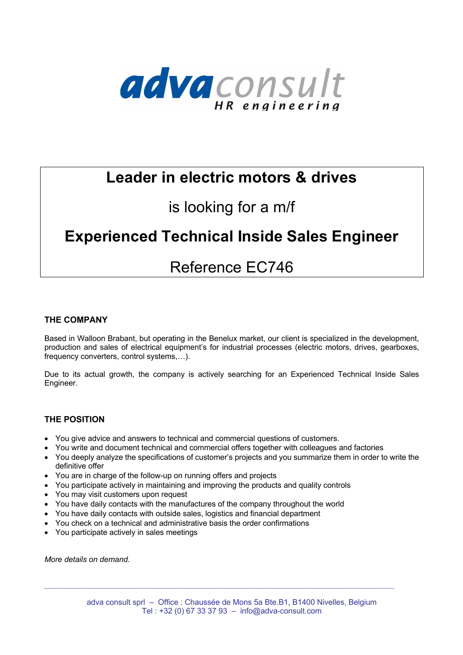

# **Leader in electric motors & drives**

## is looking for a m/f

# **Experienced Technical Inside Sales Engineer**

## Reference EC746

## **THE COMPANY**

Based in Walloon Brabant, but operating in the Benelux market, our client is specialized in the development, production and sales of electrical equipment's for industrial processes (electric motors, drives, gearboxes, frequency converters, control systems,…).

Due to its actual growth, the company is actively searching for an Experienced Technical Inside Sales Engineer.

## **THE POSITION**

- You give advice and answers to technical and commercial questions of customers.
- You write and document technical and commercial offers together with colleagues and factories
- You deeply analyze the specifications of customer's projects and you summarize them in order to write the definitive offer
- You are in charge of the follow-up on running offers and projects
- You participate actively in maintaining and improving the products and quality controls
- You may visit customers upon request
- You have daily contacts with the manufactures of the company throughout the world
- You have daily contacts with outside sales, logistics and financial department
- You check on a technical and administrative basis the order confirmations
- You participate actively in sales meetings

*More details on demand.*